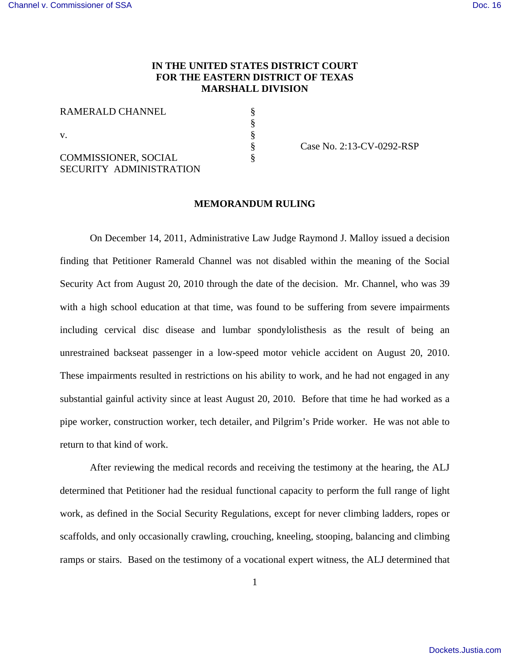# **IN THE UNITED STATES DISTRICT COURT FOR THE EASTERN DISTRICT OF TEXAS MARSHALL DIVISION**

§ § § § §

RAMERALD CHANNEL

v.

COMMISSIONER, SOCIAL SECURITY ADMINISTRATION Case No. 2:13-CV-0292-RSP

### **MEMORANDUM RULING**

On December 14, 2011, Administrative Law Judge Raymond J. Malloy issued a decision finding that Petitioner Ramerald Channel was not disabled within the meaning of the Social Security Act from August 20, 2010 through the date of the decision. Mr. Channel, who was 39 with a high school education at that time, was found to be suffering from severe impairments including cervical disc disease and lumbar spondylolisthesis as the result of being an unrestrained backseat passenger in a low-speed motor vehicle accident on August 20, 2010. These impairments resulted in restrictions on his ability to work, and he had not engaged in any substantial gainful activity since at least August 20, 2010. Before that time he had worked as a pipe worker, construction worker, tech detailer, and Pilgrim's Pride worker. He was not able to return to that kind of work.

After reviewing the medical records and receiving the testimony at the hearing, the ALJ determined that Petitioner had the residual functional capacity to perform the full range of light work, as defined in the Social Security Regulations, except for never climbing ladders, ropes or scaffolds, and only occasionally crawling, crouching, kneeling, stooping, balancing and climbing ramps or stairs. Based on the testimony of a vocational expert witness, the ALJ determined that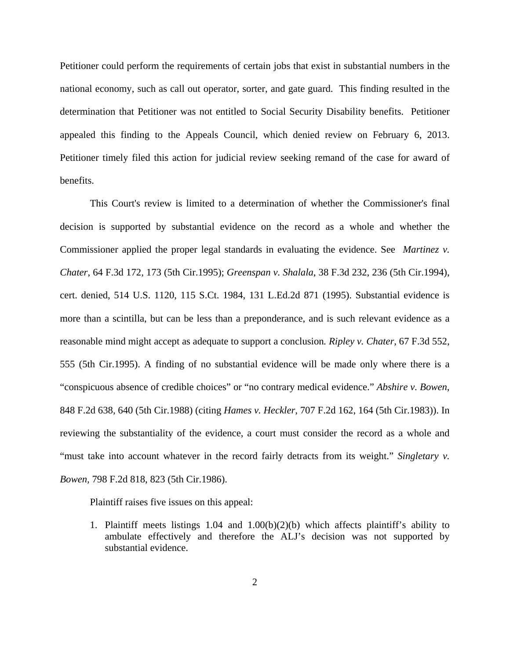Petitioner could perform the requirements of certain jobs that exist in substantial numbers in the national economy, such as call out operator, sorter, and gate guard. This finding resulted in the determination that Petitioner was not entitled to Social Security Disability benefits. Petitioner appealed this finding to the Appeals Council, which denied review on February 6, 2013. Petitioner timely filed this action for judicial review seeking remand of the case for award of benefits.

This Court's review is limited to a determination of whether the Commissioner's final decision is supported by substantial evidence on the record as a whole and whether the Commissioner applied the proper legal standards in evaluating the evidence. See *Martinez v. Chater*, 64 F.3d 172, 173 (5th Cir.1995); *Greenspan v. Shalala*, 38 F.3d 232, 236 (5th Cir.1994), cert. denied, 514 U.S. 1120, 115 S.Ct. 1984, 131 L.Ed.2d 871 (1995). Substantial evidence is more than a scintilla, but can be less than a preponderance, and is such relevant evidence as a reasonable mind might accept as adequate to support a conclusion*. Ripley v. Chater*, 67 F.3d 552, 555 (5th Cir.1995). A finding of no substantial evidence will be made only where there is a "conspicuous absence of credible choices" or "no contrary medical evidence." *Abshire v. Bowen*, 848 F.2d 638, 640 (5th Cir.1988) (citing *Hames v. Heckler*, 707 F.2d 162, 164 (5th Cir.1983)). In reviewing the substantiality of the evidence, a court must consider the record as a whole and "must take into account whatever in the record fairly detracts from its weight." *Singletary v. Bowen,* 798 F.2d 818, 823 (5th Cir.1986).

Plaintiff raises five issues on this appeal:

1. Plaintiff meets listings 1.04 and 1.00(b)(2)(b) which affects plaintiff's ability to ambulate effectively and therefore the ALJ's decision was not supported by substantial evidence.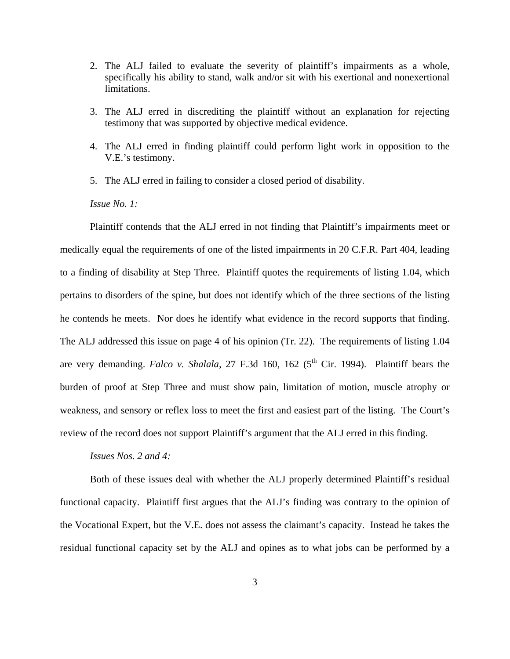- 2. The ALJ failed to evaluate the severity of plaintiff's impairments as a whole, specifically his ability to stand, walk and/or sit with his exertional and nonexertional limitations.
- 3. The ALJ erred in discrediting the plaintiff without an explanation for rejecting testimony that was supported by objective medical evidence.
- 4. The ALJ erred in finding plaintiff could perform light work in opposition to the V.E.'s testimony.
- 5. The ALJ erred in failing to consider a closed period of disability.

*Issue No. 1:*

Plaintiff contends that the ALJ erred in not finding that Plaintiff's impairments meet or medically equal the requirements of one of the listed impairments in 20 C.F.R. Part 404, leading to a finding of disability at Step Three. Plaintiff quotes the requirements of listing 1.04, which pertains to disorders of the spine, but does not identify which of the three sections of the listing he contends he meets. Nor does he identify what evidence in the record supports that finding. The ALJ addressed this issue on page 4 of his opinion (Tr. 22). The requirements of listing 1.04 are very demanding. *Falco v. Shalala*, 27 F.3d 160, 162 ( $5<sup>th</sup>$  Cir. 1994). Plaintiff bears the burden of proof at Step Three and must show pain, limitation of motion, muscle atrophy or weakness, and sensory or reflex loss to meet the first and easiest part of the listing. The Court's review of the record does not support Plaintiff's argument that the ALJ erred in this finding.

#### *Issues Nos. 2 and 4:*

Both of these issues deal with whether the ALJ properly determined Plaintiff's residual functional capacity. Plaintiff first argues that the ALJ's finding was contrary to the opinion of the Vocational Expert, but the V.E. does not assess the claimant's capacity. Instead he takes the residual functional capacity set by the ALJ and opines as to what jobs can be performed by a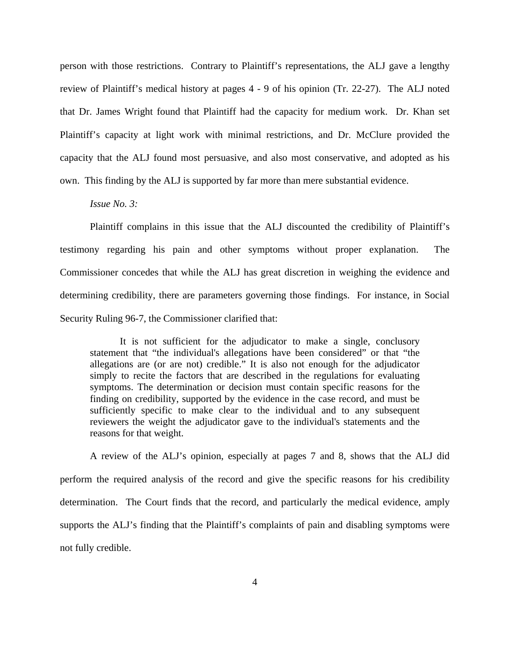person with those restrictions. Contrary to Plaintiff's representations, the ALJ gave a lengthy review of Plaintiff's medical history at pages 4 - 9 of his opinion (Tr. 22-27). The ALJ noted that Dr. James Wright found that Plaintiff had the capacity for medium work. Dr. Khan set Plaintiff's capacity at light work with minimal restrictions, and Dr. McClure provided the capacity that the ALJ found most persuasive, and also most conservative, and adopted as his own. This finding by the ALJ is supported by far more than mere substantial evidence.

## *Issue No. 3:*

Plaintiff complains in this issue that the ALJ discounted the credibility of Plaintiff's testimony regarding his pain and other symptoms without proper explanation. The Commissioner concedes that while the ALJ has great discretion in weighing the evidence and determining credibility, there are parameters governing those findings. For instance, in Social Security Ruling 96-7, the Commissioner clarified that:

It is not sufficient for the adjudicator to make a single, conclusory statement that "the individual's allegations have been considered" or that "the allegations are (or are not) credible." It is also not enough for the adjudicator simply to recite the factors that are described in the regulations for evaluating symptoms. The determination or decision must contain specific reasons for the finding on credibility, supported by the evidence in the case record, and must be sufficiently specific to make clear to the individual and to any subsequent reviewers the weight the adjudicator gave to the individual's statements and the reasons for that weight.

A review of the ALJ's opinion, especially at pages 7 and 8, shows that the ALJ did perform the required analysis of the record and give the specific reasons for his credibility determination. The Court finds that the record, and particularly the medical evidence, amply supports the ALJ's finding that the Plaintiff's complaints of pain and disabling symptoms were not fully credible.